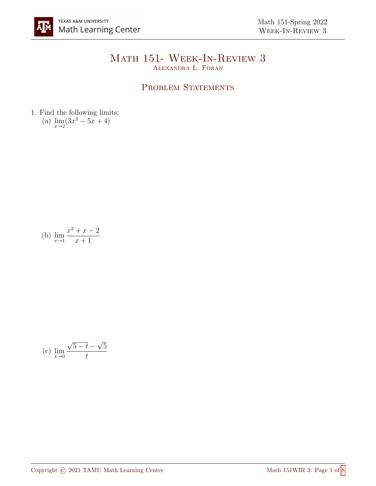## Math 151- Week-In-Review 3 Alexandra L. Foran

## PROBLEM STATEMENTS

1. Find the following limits: (a)  $\lim_{x \to 2} (3x^3 - 5x + 4)$ 

(b) 
$$
\lim_{x \to 1} \frac{x^2 + x - 2}{x + 1}
$$

(c) 
$$
\lim_{x \to 0} \frac{\sqrt{5 - t} - \sqrt{5}}{t}
$$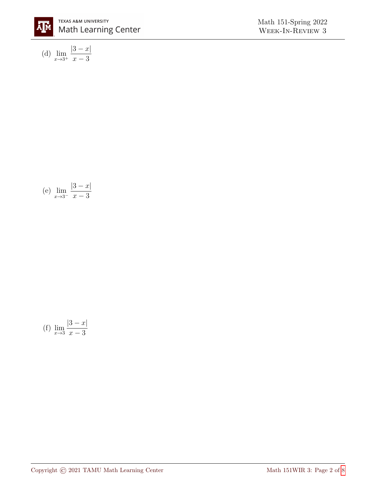

(d) 
$$
\lim_{x \to 3^+} \frac{|3 - x|}{x - 3}
$$

(e) 
$$
\lim_{x \to 3^{-}} \frac{|3-x|}{x-3}
$$

(f) 
$$
\lim_{x \to 3} \frac{|3 - x|}{x - 3}
$$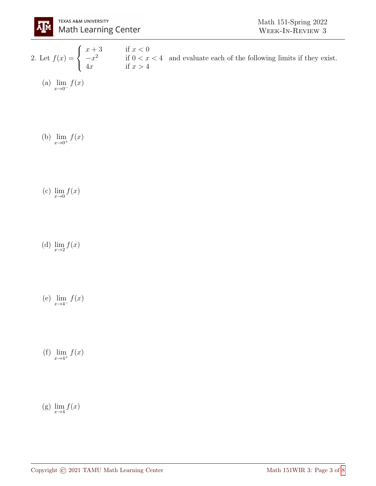

2. Let  $f(x) =$  $\sqrt{ }$  $\int$  $\mathcal{L}$  $x + 3$  if  $x < 0$  $-x^2$  if  $0 < x < 4$ 4x if  $x > 4$ and evaluate each of the following limits if they exist.

(a) 
$$
\lim_{x \to 0^-} f(x)
$$

(b)  $\lim_{x \to 0^+} f(x)$ 

- (c)  $\lim_{x\to 0} f(x)$
- (d)  $\lim_{x\to 2} f(x)$
- (e)  $\lim_{x \to 4^-} f(x)$
- (f)  $\lim_{x \to 4^+} f(x)$
- (g)  $\lim_{x\to 4} f(x)$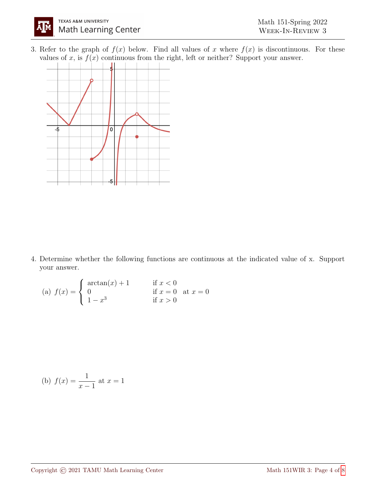3. Refer to the graph of  $f(x)$  below. Find all values of x where  $f(x)$  is discontinuous. For these values of x, is  $f(x)$  continuous from the right, left or neither? Support your answer.



4. Determine whether the following functions are continuous at the indicated value of x. Support your answer.

(a) 
$$
f(x) = \begin{cases} \arctan(x) + 1 & \text{if } x < 0 \\ 0 & \text{if } x = 0 \\ 1 - x^3 & \text{if } x > 0 \end{cases}
$$
 at  $x = 0$ 

(b) 
$$
f(x) = \frac{1}{x-1}
$$
 at  $x = 1$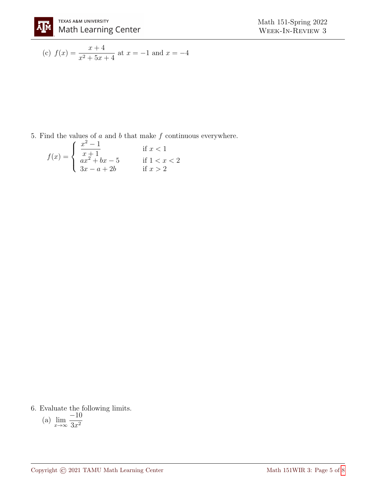(c) 
$$
f(x) = \frac{x+4}{x^2+5x+4}
$$
 at  $x = -1$  and  $x = -4$ 

5. Find the values of  $a$  and  $b$  that make  $f$  continuous everywhere.

$$
f(x) = \begin{cases} \frac{x^2 - 1}{x + 1} & \text{if } x < 1\\ \frac{ax^2 + bx - 5}{3x - a + 2b} & \text{if } 1 < x < 2 \end{cases}
$$

6. Evaluate the following limits.

(a) 
$$
\lim_{x \to \infty} \frac{-10}{3x^2}
$$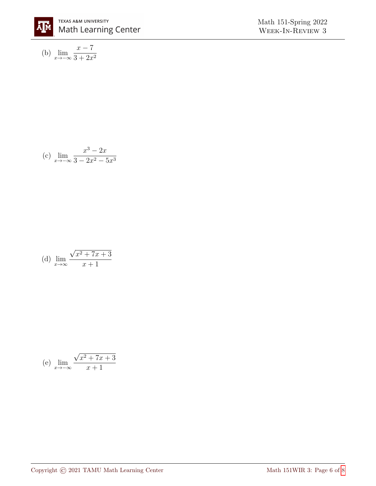

(b) 
$$
\lim_{x \to -\infty} \frac{x - 7}{3 + 2x^2}
$$

(c) 
$$
\lim_{x \to -\infty} \frac{x^3 - 2x}{3 - 2x^2 - 5x^3}
$$

(d) 
$$
\lim_{x \to \infty} \frac{\sqrt{x^2 + 7x + 3}}{x + 1}
$$

(e) 
$$
\lim_{x \to -\infty} \frac{\sqrt{x^2 + 7x + 3}}{x + 1}
$$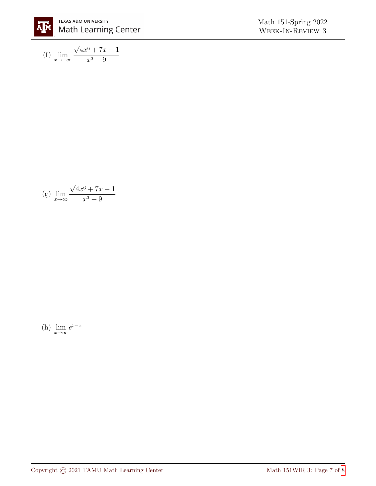

$$
\begin{array}{c} \text{Math 151-Spring 2022}\\ \text{WEEK-IN-REVIEW 3} \end{array}
$$

(f) 
$$
\lim_{x \to -\infty} \frac{\sqrt{4x^6 + 7x - 1}}{x^3 + 9}
$$

(g) 
$$
\lim_{x \to \infty} \frac{\sqrt{4x^6 + 7x - 1}}{x^3 + 9}
$$

(h) 
$$
\lim_{x \to \infty} e^{5-x}
$$